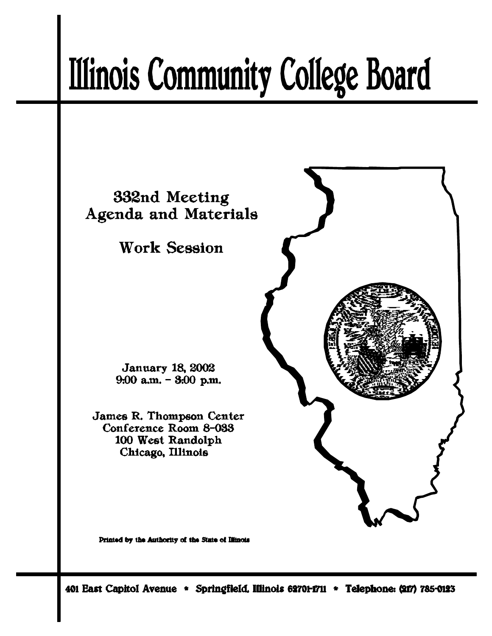# **Illinois Community College Board**



Printed by the Authority of the State of Illinois

401 East Capitol Avenue \* Springfield, Illinois 62701-1711 \* Telephone: (217) 785-0123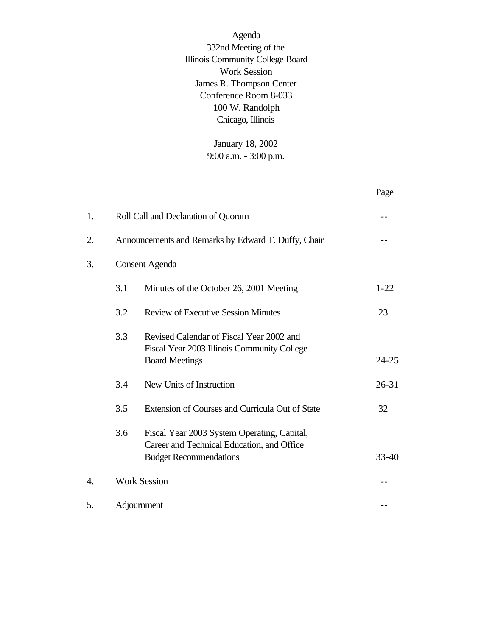Agenda 332nd Meeting of the Illinois Community College Board Work Session James R. Thompson Center Conference Room 8-033 100 W. Randolph Chicago, Illinois

> January 18, 2002 9:00 a.m. - 3:00 p.m.

|    |                       |                                                                                                                            | Page      |  |
|----|-----------------------|----------------------------------------------------------------------------------------------------------------------------|-----------|--|
| 1. |                       | Roll Call and Declaration of Quorum                                                                                        |           |  |
| 2. |                       | Announcements and Remarks by Edward T. Duffy, Chair                                                                        |           |  |
| 3. | <b>Consent Agenda</b> |                                                                                                                            |           |  |
|    | 3.1                   | Minutes of the October 26, 2001 Meeting                                                                                    | $1 - 22$  |  |
|    | 3.2                   | <b>Review of Executive Session Minutes</b>                                                                                 | 23        |  |
|    | 3.3                   | Revised Calendar of Fiscal Year 2002 and<br>Fiscal Year 2003 Illinois Community College<br><b>Board Meetings</b>           | $24 - 25$ |  |
|    | 3.4                   | New Units of Instruction                                                                                                   | $26 - 31$ |  |
|    | 3.5                   | Extension of Courses and Curricula Out of State                                                                            | 32        |  |
|    | 3.6                   | Fiscal Year 2003 System Operating, Capital,<br>Career and Technical Education, and Office<br><b>Budget Recommendations</b> | 33-40     |  |
| 4. |                       | <b>Work Session</b>                                                                                                        |           |  |
| 5. |                       | Adjournment                                                                                                                |           |  |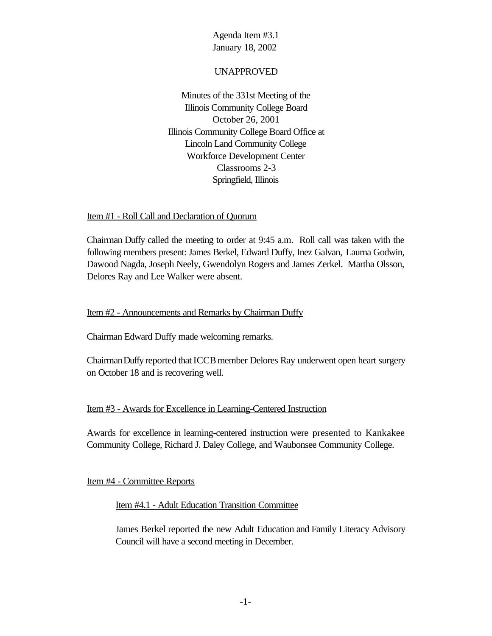#### UNAPPROVED

Minutes of the 331st Meeting of the Illinois Community College Board October 26, 2001 Illinois Community College Board Office at Lincoln Land Community College Workforce Development Center Classrooms 2-3 Springfield, Illinois

#### Item #1 - Roll Call and Declaration of Quorum

Chairman Duffy called the meeting to order at 9:45 a.m. Roll call was taken with the following members present: James Berkel, Edward Duffy, Inez Galvan, Laurna Godwin, Dawood Nagda, Joseph Neely, Gwendolyn Rogers and James Zerkel. Martha Olsson, Delores Ray and Lee Walker were absent.

#### Item #2 - Announcements and Remarks by Chairman Duffy

Chairman Edward Duffy made welcoming remarks.

Chairman Duffy reported that ICCB member Delores Ray underwent open heart surgery on October 18 and is recovering well.

### Item #3 - Awards for Excellence in Learning-Centered Instruction

Awards for excellence in learning-centered instruction were presented to Kankakee Community College, Richard J. Daley College, and Waubonsee Community College.

Item #4 - Committee Reports

#### Item #4.1 - Adult Education Transition Committee

James Berkel reported the new Adult Education and Family Literacy Advisory Council will have a second meeting in December.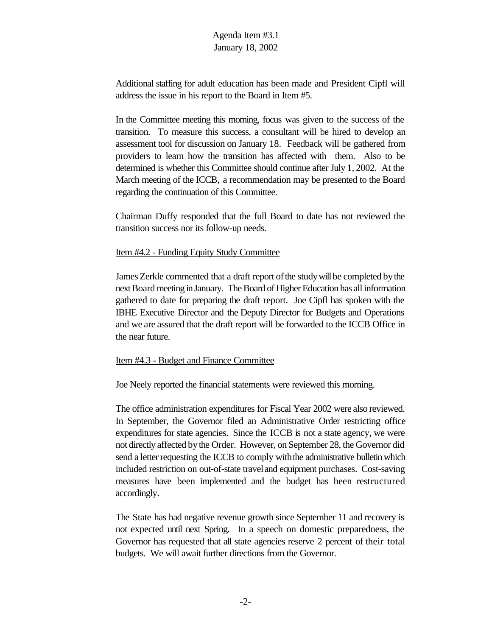Additional staffing for adult education has been made and President Cipfl will address the issue in his report to the Board in Item #5.

In the Committee meeting this morning, focus was given to the success of the transition. To measure this success, a consultant will be hired to develop an assessment tool for discussion on January 18. Feedback will be gathered from providers to learn how the transition has affected with them. Also to be determined is whether this Committee should continue after July 1, 2002. At the March meeting of the ICCB, a recommendation may be presented to the Board regarding the continuation of this Committee.

Chairman Duffy responded that the full Board to date has not reviewed the transition success nor its follow-up needs.

#### Item #4.2 - Funding Equity Study Committee

James Zerkle commented that a draft report of the study will be completed by the next Board meeting in January. The Board of Higher Education has all information gathered to date for preparing the draft report. Joe Cipfl has spoken with the IBHE Executive Director and the Deputy Director for Budgets and Operations and we are assured that the draft report will be forwarded to the ICCB Office in the near future.

#### Item #4.3 - Budget and Finance Committee

Joe Neely reported the financial statements were reviewed this morning.

The office administration expenditures for Fiscal Year 2002 were also reviewed. In September, the Governor filed an Administrative Order restricting office expenditures for state agencies. Since the ICCB is not a state agency, we were not directly affected bythe Order. However, on September 28, the Governor did send a letter requesting the ICCB to comply with the administrative bulletin which included restriction on out-of-state traveland equipment purchases. Cost-saving measures have been implemented and the budget has been restructured accordingly.

The State has had negative revenue growth since September 11 and recovery is not expected until next Spring. In a speech on domestic preparedness, the Governor has requested that all state agencies reserve 2 percent of their total budgets. We will await further directions from the Governor.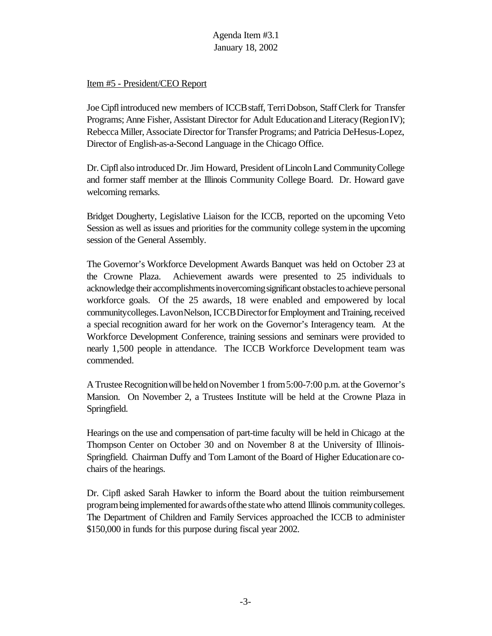#### Item #5 - President/CEO Report

Joe Cipflintroduced new members of ICCBstaff, TerriDobson, StaffClerk for Transfer Programs; Anne Fisher, Assistant Director for Adult Educationand Literacy(RegionIV); Rebecca Miller, Associate Director for Transfer Programs; and Patricia DeHesus-Lopez, Director of English-as-a-Second Language in the Chicago Office.

Dr. Cipfl also introduced Dr. Jim Howard, President of Lincoln Land Community College and former staff member at the Illinois Community College Board. Dr. Howard gave welcoming remarks.

Bridget Dougherty, Legislative Liaison for the ICCB, reported on the upcoming Veto Session as well as issues and priorities for the community college systemin the upcoming session of the General Assembly.

The Governor's Workforce Development Awards Banquet was held on October 23 at the Crowne Plaza. Achievement awards were presented to 25 individuals to acknowledge their accomplishmentsinovercomingsignificant obstaclestoachieve personal workforce goals. Of the 25 awards, 18 were enabled and empowered by local community colleges. Lavon Nelson, ICCB Director for Employment and Training, received a special recognition award for her work on the Governor's Interagency team. At the Workforce Development Conference, training sessions and seminars were provided to nearly 1,500 people in attendance. The ICCB Workforce Development team was commended.

A Trustee Recognition will be held on November 1 from 5:00-7:00 p.m. at the Governor's Mansion. On November 2, a Trustees Institute will be held at the Crowne Plaza in Springfield.

Hearings on the use and compensation of part-time faculty will be held in Chicago at the Thompson Center on October 30 and on November 8 at the University of Illinois-Springfield. Chairman Duffy and Tom Lamont of the Board of Higher Educationare cochairs of the hearings.

Dr. Cipfl asked Sarah Hawker to inform the Board about the tuition reimbursement programbeing implemented for awardsofthe statewho attend Illinois communitycolleges. The Department of Children and Family Services approached the ICCB to administer \$150,000 in funds for this purpose during fiscal year 2002.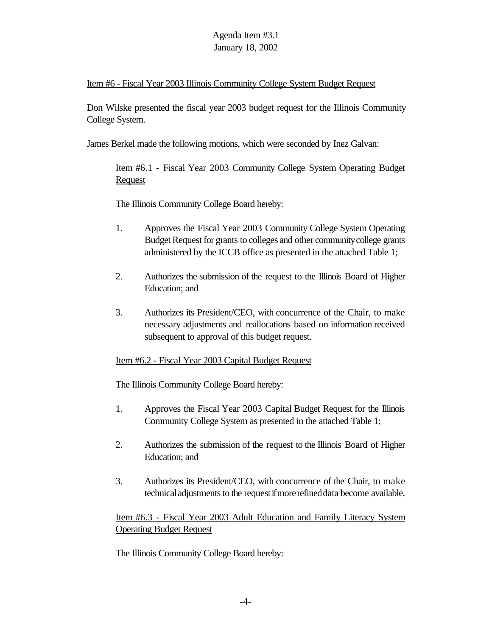#### Item #6 - Fiscal Year 2003 Illinois Community College System Budget Request

Don Wilske presented the fiscal year 2003 budget request for the Illinois Community College System.

James Berkel made the following motions, which were seconded by Inez Galvan:

Item #6.1 - Fiscal Year 2003 Community College System Operating Budget **Request** 

The Illinois Community College Board hereby:

- 1. Approves the Fiscal Year 2003 Community College System Operating Budget Request for grants to colleges and other community college grants administered by the ICCB office as presented in the attached Table 1;
- 2. Authorizes the submission of the request to the Illinois Board of Higher Education; and
- 3. Authorizes its President/CEO, with concurrence of the Chair, to make necessary adjustments and reallocations based on information received subsequent to approval of this budget request.

### Item #6.2 - Fiscal Year 2003 Capital Budget Request

The Illinois Community College Board hereby:

- 1. Approves the Fiscal Year 2003 Capital Budget Request for the Illinois Community College System as presented in the attached Table 1;
- 2. Authorizes the submission of the request to the Illinois Board of Higher Education; and
- 3. Authorizes its President/CEO, with concurrence of the Chair, to make technical adjustments to the request if more refined data become available.

Item #6.3 - Fiscal Year 2003 Adult Education and Family Literacy System Operating Budget Request

The Illinois Community College Board hereby: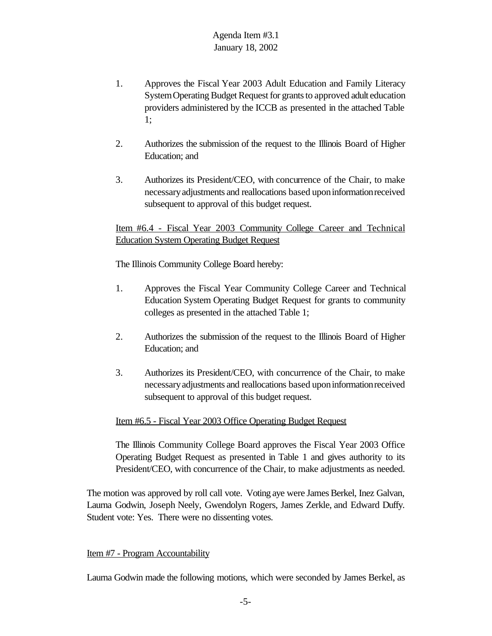- 1. Approves the Fiscal Year 2003 Adult Education and Family Literacy System Operating Budget Request for grants to approved adult education providers administered by the ICCB as presented in the attached Table 1;
- 2. Authorizes the submission of the request to the Illinois Board of Higher Education; and
- 3. Authorizes its President/CEO, with concurrence of the Chair, to make necessaryadjustments and reallocations based uponinformationreceived subsequent to approval of this budget request.

Item #6.4 - Fiscal Year 2003 Community College Career and Technical Education System Operating Budget Request

The Illinois Community College Board hereby:

- 1. Approves the Fiscal Year Community College Career and Technical Education System Operating Budget Request for grants to community colleges as presented in the attached Table 1;
- 2. Authorizes the submission of the request to the Illinois Board of Higher Education; and
- 3. Authorizes its President/CEO, with concurrence of the Chair, to make necessaryadjustments and reallocations based uponinformationreceived subsequent to approval of this budget request.

### Item #6.5 - Fiscal Year 2003 Office Operating Budget Request

The Illinois Community College Board approves the Fiscal Year 2003 Office Operating Budget Request as presented in Table 1 and gives authority to its President/CEO, with concurrence of the Chair, to make adjustments as needed.

The motion was approved by roll call vote. Voting aye were James Berkel, Inez Galvan, Laurna Godwin, Joseph Neely, Gwendolyn Rogers, James Zerkle, and Edward Duffy. Student vote: Yes. There were no dissenting votes.

#### Item #7 - Program Accountability

Laurna Godwin made the following motions, which were seconded by James Berkel, as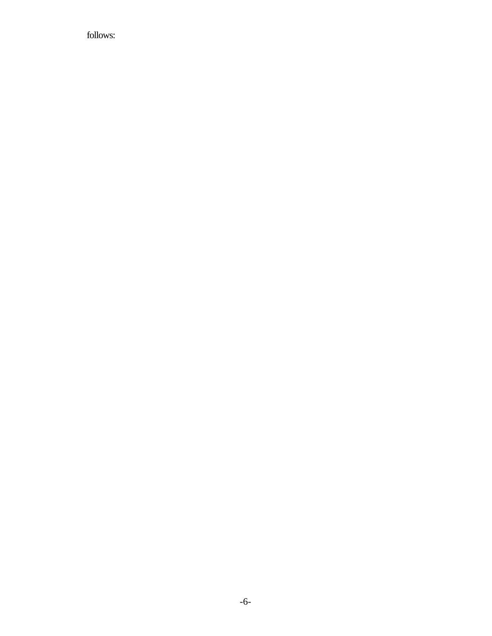follows: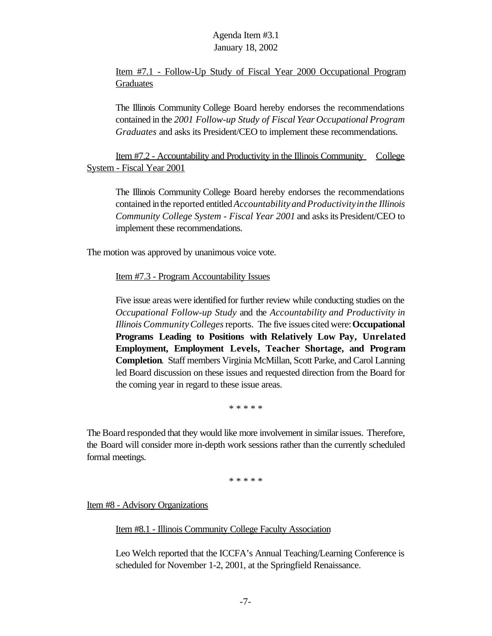Item #7.1 - Follow-Up Study of Fiscal Year 2000 Occupational Program **Graduates** 

The Illinois Community College Board hereby endorses the recommendations contained in the *2001 Follow-up Study of Fiscal Year Occupational Program Graduates* and asks its President/CEO to implement these recommendations.

Item #7.2 - Accountability and Productivity in the Illinois Community College System - Fiscal Year 2001

The Illinois Community College Board hereby endorses the recommendations contained inthe reported entitled*Accountability andProductivityinthe Illinois Community College System - Fiscal Year 2001* and asksits President/CEO to implement these recommendations.

The motion was approved by unanimous voice vote.

Item #7.3 - Program Accountability Issues

Five issue areas were identified for further review while conducting studies on the *Occupational Follow-up Study* and the *Accountability and Productivity in Illinois CommunityColleges*reports. The five issues cited were:**Occupational Programs Leading to Positions with Relatively Low Pay, Unrelated Employment, Employment Levels, Teacher Shortage, and Program Completion**. Staff members Virginia McMillan, Scott Parke, and Carol Lanning led Board discussion on these issues and requested direction from the Board for the coming year in regard to these issue areas.

\* \* \* \* \*

The Board responded that they would like more involvement in similar issues. Therefore, the Board will consider more in-depth work sessions rather than the currently scheduled formal meetings.

\* \* \* \* \*

Item #8 - Advisory Organizations

Item #8.1 - Illinois Community College Faculty Association

Leo Welch reported that the ICCFA's Annual Teaching/Learning Conference is scheduled for November 1-2, 2001, at the Springfield Renaissance.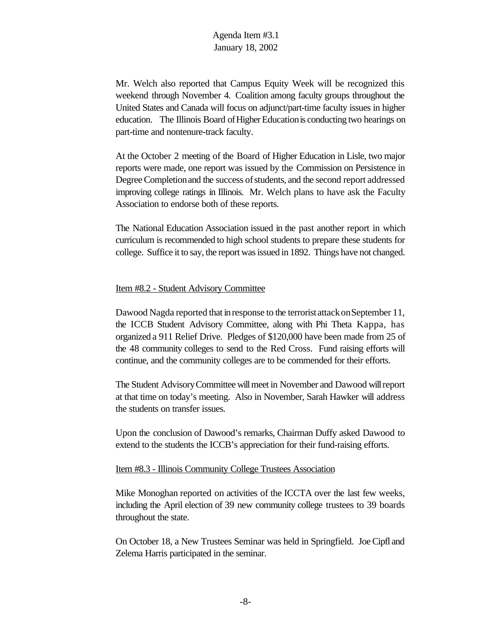Mr. Welch also reported that Campus Equity Week will be recognized this weekend through November 4. Coalition among faculty groups throughout the United States and Canada will focus on adjunct/part-time faculty issues in higher education. The Illinois Board of Higher Education is conducting two hearings on part-time and nontenure-track faculty.

At the October 2 meeting of the Board of Higher Education in Lisle, two major reports were made, one report was issued by the Commission on Persistence in Degree Completion and the success of students, and the second report addressed improving college ratings in Illinois. Mr. Welch plans to have ask the Faculty Association to endorse both of these reports.

The National Education Association issued in the past another report in which curriculum is recommended to high school students to prepare these students for college. Suffice it to say, the report was issued in 1892. Things have not changed.

#### Item #8.2 - Student Advisory Committee

Dawood Nagda reported that in response to the terrorist attack on September 11, the ICCB Student Advisory Committee, along with Phi Theta Kappa, has organized a 911 Relief Drive. Pledges of \$120,000 have been made from 25 of the 48 community colleges to send to the Red Cross. Fund raising efforts will continue, and the community colleges are to be commended for their efforts.

The Student AdvisoryCommittee willmeet in November and Dawood willreport at that time on today's meeting. Also in November, Sarah Hawker will address the students on transfer issues.

Upon the conclusion of Dawood's remarks, Chairman Duffy asked Dawood to extend to the students the ICCB's appreciation for their fund-raising efforts.

#### Item #8.3 - Illinois Community College Trustees Association

Mike Monoghan reported on activities of the ICCTA over the last few weeks, including the April election of 39 new community college trustees to 39 boards throughout the state.

On October 18, a New Trustees Seminar was held in Springfield. JoeCipfl and Zelema Harris participated in the seminar.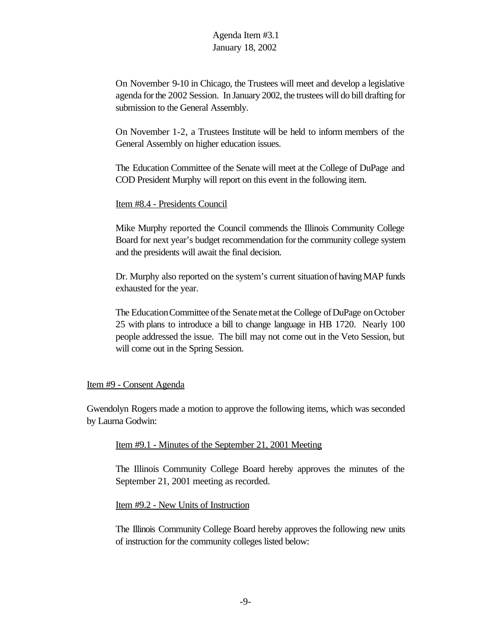On November 9-10 in Chicago, the Trustees will meet and develop a legislative agenda for the 2002 Session. In January 2002, the trustees will do bill drafting for submission to the General Assembly.

On November 1-2, a Trustees Institute will be held to inform members of the General Assembly on higher education issues.

The Education Committee of the Senate will meet at the College of DuPage and COD President Murphy will report on this event in the following item.

#### Item #8.4 - Presidents Council

Mike Murphy reported the Council commends the Illinois Community College Board for next year's budget recommendation forthe community college system and the presidents will await the final decision.

Dr. Murphy also reported on the system's current situation of having MAP funds exhausted for the year.

The Education Committee of the Senate met at the College of DuPage on October 25 with plans to introduce a bill to change language in HB 1720. Nearly 100 people addressed the issue. The bill may not come out in the Veto Session, but will come out in the Spring Session.

#### Item #9 - Consent Agenda

Gwendolyn Rogers made a motion to approve the following items, which was seconded by Laurna Godwin:

#### Item #9.1 - Minutes of the September 21, 2001 Meeting

The Illinois Community College Board hereby approves the minutes of the September 21, 2001 meeting as recorded.

Item #9.2 - New Units of Instruction

The Illinois Community College Board hereby approves the following new units of instruction for the community colleges listed below: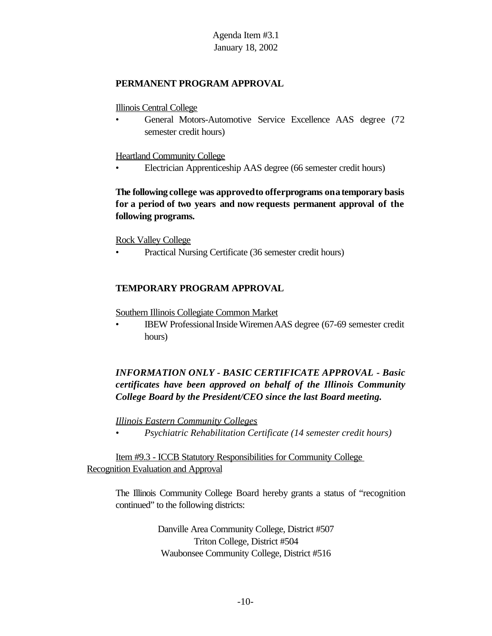#### **PERMANENT PROGRAM APPROVAL**

Illinois Central College

• General Motors-Automotive Service Excellence AAS degree (72 semester credit hours)

Heartland Community College

• Electrician Apprenticeship AAS degree (66 semester credit hours)

**The following college was approvedto offerprograms onatemporary basis for a period of two years and now requests permanent approval of the following programs.**

Rock Valley College

• Practical Nursing Certificate (36 semester credit hours)

#### **TEMPORARY PROGRAM APPROVAL**

Southern Illinois Collegiate Common Market

• IBEW Professional Inside Wiremen AAS degree (67-69 semester credit hours)

# *INFORMATION ONLY - BASIC CERTIFICATE APPROVAL - Basic certificates have been approved on behalf of the Illinois Community College Board by the President/CEO since the last Board meeting.*

*Illinois Eastern Community Colleges*

*• Psychiatric Rehabilitation Certificate (14 semester credit hours)*

Item #9.3 - ICCB Statutory Responsibilities for Community College Recognition Evaluation and Approval

The Illinois Community College Board hereby grants a status of "recognition continued" to the following districts:

> Danville Area Community College, District #507 Triton College, District #504 Waubonsee Community College, District #516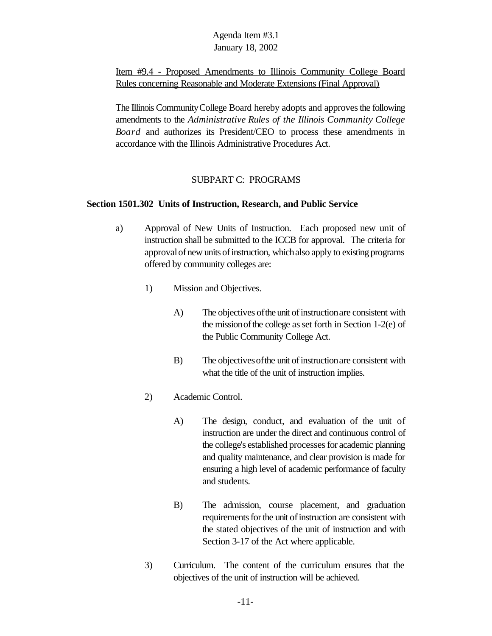Item #9.4 - Proposed Amendments to Illinois Community College Board Rules concerning Reasonable and Moderate Extensions (Final Approval)

The Illinois Community College Board hereby adopts and approves the following amendments to the *Administrative Rules of the Illinois Community College Board* and authorizes its President/CEO to process these amendments in accordance with the Illinois Administrative Procedures Act.

### SUBPART C: PROGRAMS

### **Section 1501.302 Units of Instruction, Research, and Public Service**

- a) Approval of New Units of Instruction. Each proposed new unit of instruction shall be submitted to the ICCB for approval. The criteria for approval of new units of instruction, which also apply to existing programs offered by community colleges are:
	- 1) Mission and Objectives.
		- A) The objectives of the unit of instruction are consistent with the mission of the college as set forth in Section 1-2(e) of the Public Community College Act.
		- B) The objectives of the unit of instruction are consistent with what the title of the unit of instruction implies.
	- 2) Academic Control.
		- A) The design, conduct, and evaluation of the unit of instruction are under the direct and continuous control of the college's established processesfor academic planning and quality maintenance, and clear provision is made for ensuring a high level of academic performance of faculty and students.
		- B) The admission, course placement, and graduation requirements for the unit of instruction are consistent with the stated objectives of the unit of instruction and with Section 3-17 of the Act where applicable.
	- 3) Curriculum. The content of the curriculum ensures that the objectives of the unit of instruction will be achieved.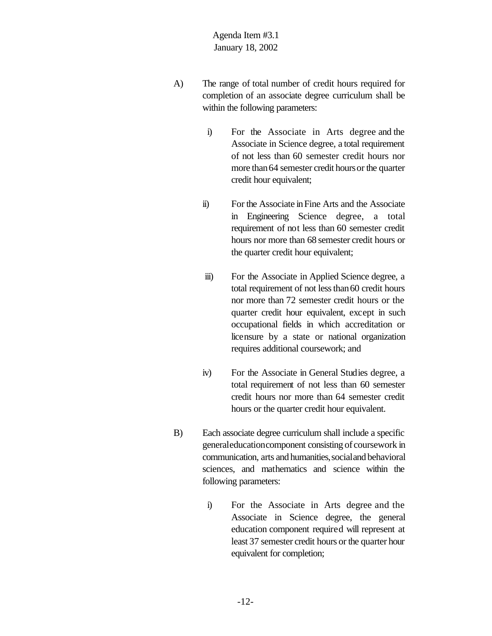- A) The range of total number of credit hours required for completion of an associate degree curriculum shall be within the following parameters:
	- i) For the Associate in Arts degree and the Associate in Science degree, a total requirement of not less than 60 semester credit hours nor more than 64 semester credit hours or the quarter credit hour equivalent;
	- ii) For the Associate inFine Arts and the Associate in Engineering Science degree, a total requirement of not less than 60 semester credit hours nor more than 68 semester credit hours or the quarter credit hour equivalent;
	- iii) For the Associate in Applied Science degree, a total requirement of not less than 60 credit hours nor more than 72 semester credit hours or the quarter credit hour equivalent, except in such occupational fields in which accreditation or licensure by a state or national organization requires additional coursework; and
	- iv) For the Associate in General Studies degree, a total requirement of not less than 60 semester credit hours nor more than 64 semester credit hours or the quarter credit hour equivalent.
- B) Each associate degree curriculum shall include a specific generaleducationcomponent consisting of coursework in communication, arts and humanities,socialand behavioral sciences, and mathematics and science within the following parameters:
	- i) For the Associate in Arts degree and the Associate in Science degree, the general education component required will represent at least 37 semester credit hours or the quarter hour equivalent for completion;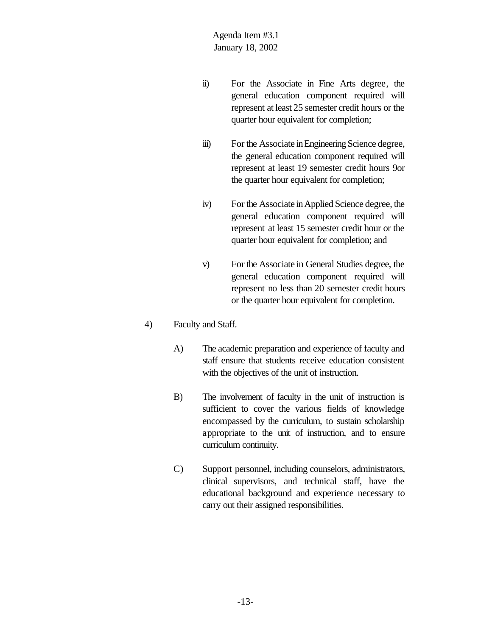- ii) For the Associate in Fine Arts degree, the general education component required will represent at least 25 semester credit hours or the quarter hour equivalent for completion;
- iii) For the Associate in Engineering Science degree, the general education component required will represent at least 19 semester credit hours 9or the quarter hour equivalent for completion;
- iv) For the Associate inApplied Science degree, the general education component required will represent at least 15 semester credit hour or the quarter hour equivalent for completion; and
- v) For the Associate in General Studies degree, the general education component required will represent no less than 20 semester credit hours or the quarter hour equivalent for completion.

### 4) Faculty and Staff.

- A) The academic preparation and experience of faculty and staff ensure that students receive education consistent with the objectives of the unit of instruction.
- B) The involvement of faculty in the unit of instruction is sufficient to cover the various fields of knowledge encompassed by the curriculum, to sustain scholarship appropriate to the unit of instruction, and to ensure curriculum continuity.
- C) Support personnel, including counselors, administrators, clinical supervisors, and technical staff, have the educational background and experience necessary to carry out their assigned responsibilities.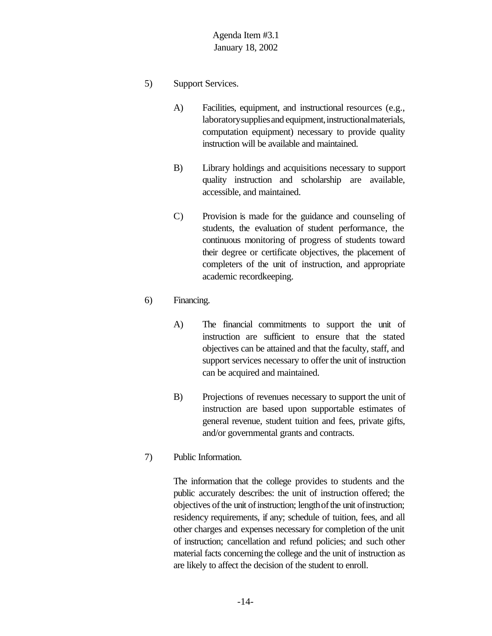- 5) Support Services.
	- A) Facilities, equipment, and instructional resources (e.g., laboratory supplies and equipment, instructional materials, computation equipment) necessary to provide quality instruction will be available and maintained.
	- B) Library holdings and acquisitions necessary to support quality instruction and scholarship are available, accessible, and maintained.
	- C) Provision is made for the guidance and counseling of students, the evaluation of student performance, the continuous monitoring of progress of students toward their degree or certificate objectives, the placement of completers of the unit of instruction, and appropriate academic recordkeeping.
- 6) Financing.
	- A) The financial commitments to support the unit of instruction are sufficient to ensure that the stated objectives can be attained and that the faculty, staff, and support services necessary to offer the unit of instruction can be acquired and maintained.
	- B) Projections of revenues necessary to support the unit of instruction are based upon supportable estimates of general revenue, student tuition and fees, private gifts, and/or governmental grants and contracts.
- 7) Public Information.

The information that the college provides to students and the public accurately describes: the unit of instruction offered; the objectives of the unit of instruction; length of the unit of instruction; residency requirements, if any; schedule of tuition, fees, and all other charges and expenses necessary for completion of the unit of instruction; cancellation and refund policies; and such other material facts concerning the college and the unit of instruction as are likely to affect the decision of the student to enroll.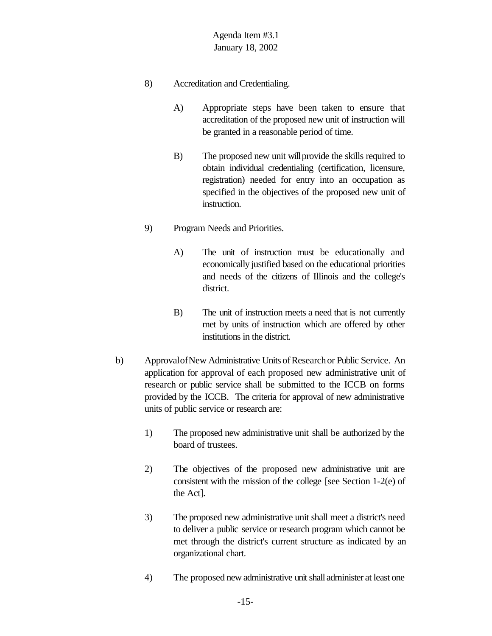- 8) Accreditation and Credentialing.
	- A) Appropriate steps have been taken to ensure that accreditation of the proposed new unit of instruction will be granted in a reasonable period of time.
	- B) The proposed new unit will provide the skills required to obtain individual credentialing (certification, licensure, registration) needed for entry into an occupation as specified in the objectives of the proposed new unit of instruction.
- 9) Program Needs and Priorities.
	- A) The unit of instruction must be educationally and economically justified based on the educational priorities and needs of the citizens of Illinois and the college's district.
	- B) The unit of instruction meets a need that is not currently met by units of instruction which are offered by other institutions in the district.
- b) Approval of New Administrative Units of Research or Public Service. An application for approval of each proposed new administrative unit of research or public service shall be submitted to the ICCB on forms provided by the ICCB. The criteria for approval of new administrative units of public service or research are:
	- 1) The proposed new administrative unit shall be authorized by the board of trustees.
	- 2) The objectives of the proposed new administrative unit are consistent with the mission of the college [see Section 1-2(e) of the Act].
	- 3) The proposed new administrative unit shall meet a district's need to deliver a public service or research program which cannot be met through the district's current structure as indicated by an organizational chart.
	- 4) The proposed new administrative unit shall administer at least one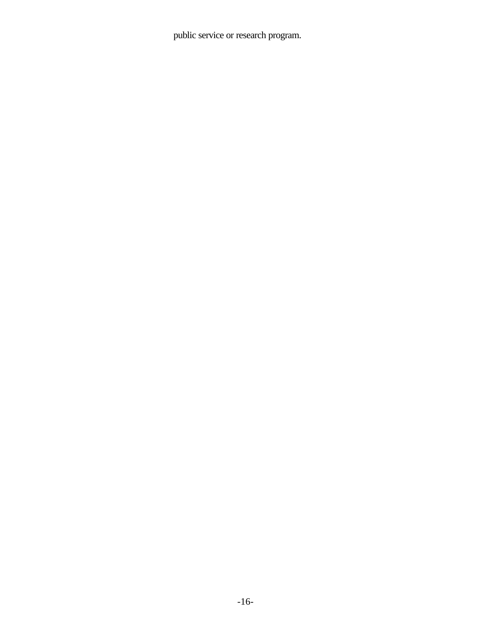public service or research program.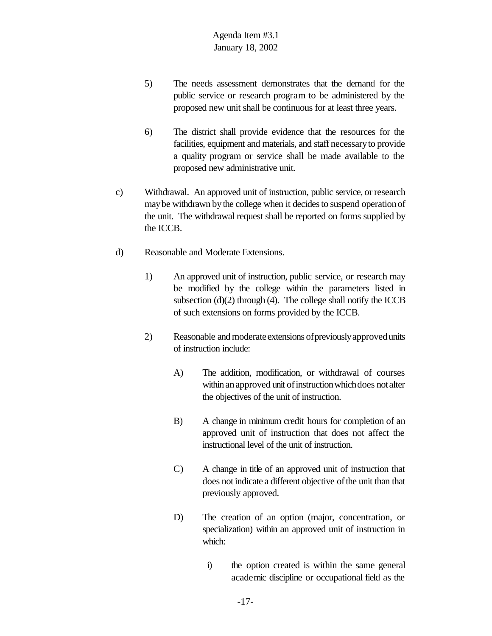- 5) The needs assessment demonstrates that the demand for the public service or research program to be administered by the proposed new unit shall be continuous for at least three years.
- 6) The district shall provide evidence that the resources for the facilities, equipment and materials, and staff necessaryto provide a quality program or service shall be made available to the proposed new administrative unit.
- c) Withdrawal. An approved unit of instruction, public service, or research may be withdrawn by the college when it decides to suspend operation of the unit. The withdrawal request shall be reported on forms supplied by the ICCB.
- d) Reasonable and Moderate Extensions.
	- 1) An approved unit of instruction, public service, or research may be modified by the college within the parameters listed in subsection (d)(2) through (4). The college shall notify the ICCB of such extensions on forms provided by the ICCB.
	- 2) Reasonable and moderate extensions of previously approved units of instruction include:
		- A) The addition, modification, or withdrawal of courses within an approved unit of instruction which does not alter the objectives of the unit of instruction.
		- B) A change in minimum credit hours for completion of an approved unit of instruction that does not affect the instructional level of the unit of instruction.
		- C) A change in title of an approved unit of instruction that does not indicate a different objective of the unit than that previously approved.
		- D) The creation of an option (major, concentration, or specialization) within an approved unit of instruction in which:
			- i) the option created is within the same general academic discipline or occupational field as the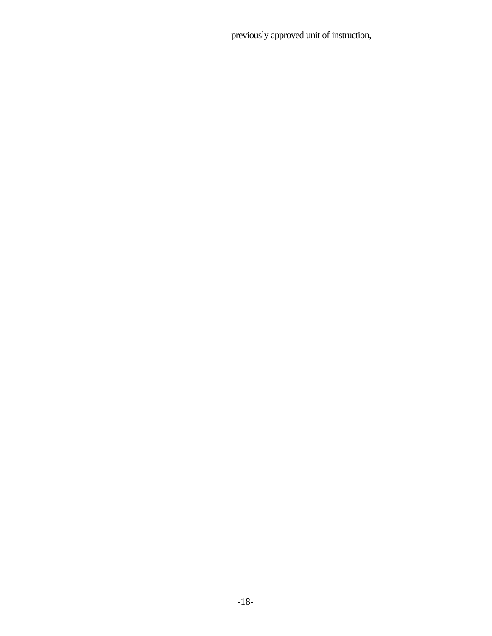previously approved unit of instruction,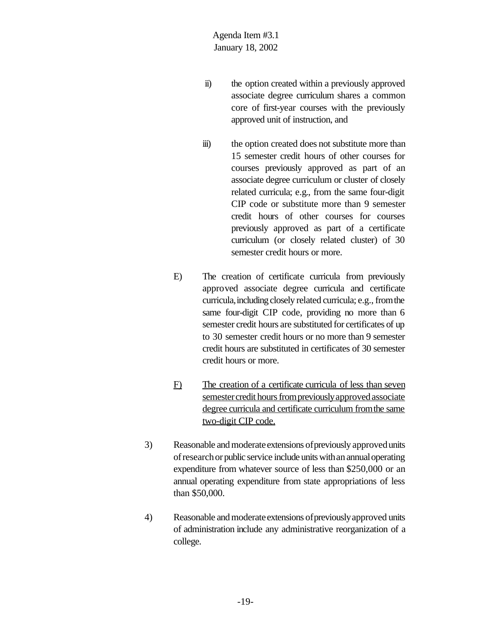- ii) the option created within a previously approved associate degree curriculum shares a common core of first-year courses with the previously approved unit of instruction, and
- iii) the option created does not substitute more than 15 semester credit hours of other courses for courses previously approved as part of an associate degree curriculum or cluster of closely related curricula; e.g., from the same four-digit CIP code or substitute more than 9 semester credit hours of other courses for courses previously approved as part of a certificate curriculum (or closely related cluster) of 30 semester credit hours or more.
- E) The creation of certificate curricula from previously approved associate degree curricula and certificate curricula, including closely related curricula; e.g., from the same four-digit CIP code, providing no more than 6 semester credit hours are substituted for certificates of up to 30 semester credit hours or no more than 9 semester credit hours are substituted in certificates of 30 semester credit hours or more.
- F) The creation of a certificate curricula of less than seven semester credit hours from previously approved associate degree curricula and certificate curriculum fromthe same two-digit CIP code.
- 3) Reasonable and moderate extensions of previously approved units of research or public service include units with an annual operating expenditure from whatever source of less than \$250,000 or an annual operating expenditure from state appropriations of less than \$50,000.
- 4) Reasonable and moderate extensions of previously approved units of administration include any administrative reorganization of a college.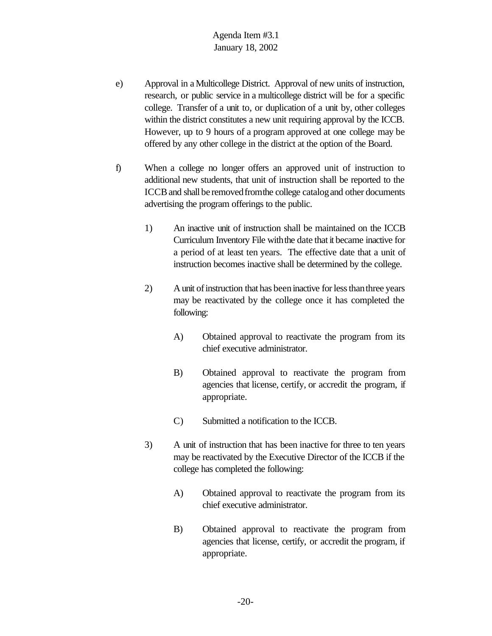- e) Approval in a Multicollege District. Approval of new units of instruction, research, or public service in a multicollege district will be for a specific college. Transfer of a unit to, or duplication of a unit by, other colleges within the district constitutes a new unit requiring approval by the ICCB. However, up to 9 hours of a program approved at one college may be offered by any other college in the district at the option of the Board.
- f) When a college no longer offers an approved unit of instruction to additional new students, that unit of instruction shall be reported to the ICCB and shall be removed from the college catalog and other documents advertising the program offerings to the public.
	- 1) An inactive unit of instruction shall be maintained on the ICCB Curriculum Inventory File with the date that it became inactive for a period of at least ten years. The effective date that a unit of instruction becomes inactive shall be determined by the college.
	- 2) A unit of instruction that has been inactive for less than three years may be reactivated by the college once it has completed the following:
		- A) Obtained approval to reactivate the program from its chief executive administrator.
		- B) Obtained approval to reactivate the program from agencies that license, certify, or accredit the program, if appropriate.
		- C) Submitted a notification to the ICCB.
	- 3) A unit of instruction that has been inactive for three to ten years may be reactivated by the Executive Director of the ICCB if the college has completed the following:
		- A) Obtained approval to reactivate the program from its chief executive administrator.
		- B) Obtained approval to reactivate the program from agencies that license, certify, or accredit the program, if appropriate.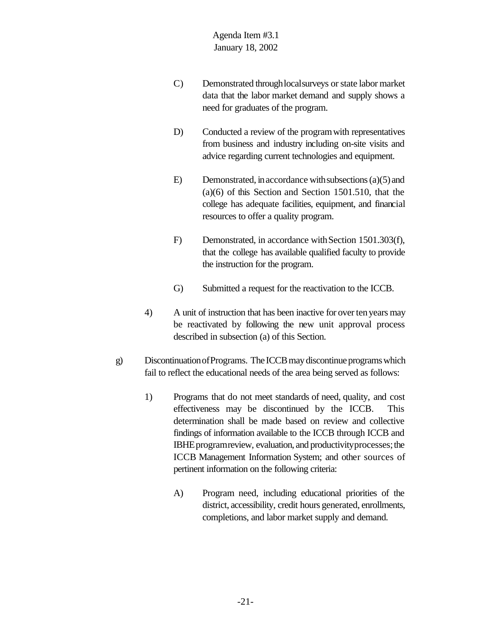- C) Demonstrated through local surveys or state labor market data that the labor market demand and supply shows a need for graduates of the program.
- D) Conducted a review of the program with representatives from business and industry including on-site visits and advice regarding current technologies and equipment.
- E) Demonstrated, in accordance with subsections  $(a)(5)$  and (a)(6) of this Section and Section 1501.510, that the college has adequate facilities, equipment, and financial resources to offer a quality program.
- F) Demonstrated, in accordance with Section 1501.303(f), that the college has available qualified faculty to provide the instruction for the program.
- G) Submitted a request for the reactivation to the ICCB.
- 4) A unit of instruction that has been inactive for over ten years may be reactivated by following the new unit approval process described in subsection (a) of this Section.
- g) DiscontinuationofPrograms. The ICCB may discontinue programs which fail to reflect the educational needs of the area being served as follows:
	- 1) Programs that do not meet standards of need, quality, and cost effectiveness may be discontinued by the ICCB. This determination shall be made based on review and collective findings of information available to the ICCB through ICCB and IBHE program review, evaluation, and productivity processes; the ICCB Management Information System; and other sources of pertinent information on the following criteria:
		- A) Program need, including educational priorities of the district, accessibility, credit hours generated, enrollments, completions, and labor market supply and demand.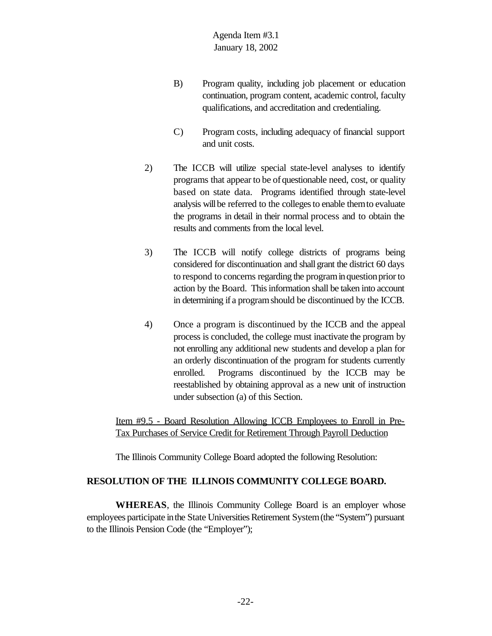- B) Program quality, including job placement or education continuation, program content, academic control, faculty qualifications, and accreditation and credentialing.
- C) Program costs, including adequacy of financial support and unit costs.
- 2) The ICCB will utilize special state-level analyses to identify programs that appear to be of questionable need, cost, or quality based on state data. Programs identified through state-level analysis will be referred to the colleges to enable them to evaluate the programs in detail in their normal process and to obtain the results and comments from the local level.
- 3) The ICCB will notify college districts of programs being considered for discontinuation and shall grant the district 60 days to respond to concerns regarding the programinquestionpriorto action by the Board. This information shall be taken into account in determining if a programshould be discontinued by the ICCB.
- 4) Once a program is discontinued by the ICCB and the appeal process is concluded, the college must inactivate the program by not enrolling any additional new students and develop a plan for an orderly discontinuation of the program for students currently enrolled. Programs discontinued by the ICCB may be reestablished by obtaining approval as a new unit of instruction under subsection (a) of this Section.

Item #9.5 - Board Resolution Allowing ICCB Employees to Enroll in Pre-Tax Purchases of Service Credit for Retirement Through Payroll Deduction

The Illinois Community College Board adopted the following Resolution:

### **RESOLUTION OF THE ILLINOIS COMMUNITY COLLEGE BOARD.**

**WHEREAS**, the Illinois Community College Board is an employer whose employees participate in the State Universities Retirement System (the "System") pursuant to the Illinois Pension Code (the "Employer");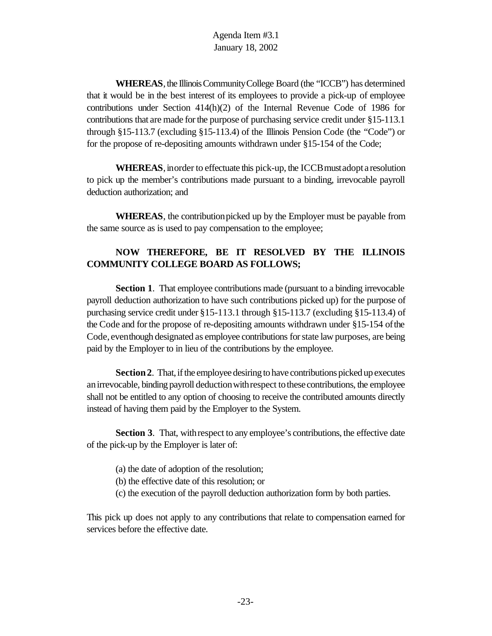**WHEREAS**, the Illinois Community College Board (the "ICCB") has determined that it would be in the best interest of its employees to provide a pick-up of employee contributions under Section  $414(h)(2)$  of the Internal Revenue Code of 1986 for contributions that are made for the purpose of purchasing service credit under §15-113.1 through §15-113.7 (excluding §15-113.4) of the Illinois Pension Code (the "Code") or for the propose of re-depositing amounts withdrawn under §15-154 of the Code;

**WHEREAS**, inorder to effectuate this pick-up, the ICCB must adopt a resolution to pick up the member's contributions made pursuant to a binding, irrevocable payroll deduction authorization; and

**WHEREAS**, the contribution picked up by the Employer must be payable from the same source as is used to pay compensation to the employee;

# **NOW THEREFORE, BE IT RESOLVED BY THE ILLINOIS COMMUNITY COLLEGE BOARD AS FOLLOWS;**

**Section 1.** That employee contributions made (pursuant to a binding irrevocable payroll deduction authorization to have such contributions picked up) for the purpose of purchasing service credit under §15-113.1 through §15-113.7 (excluding §15-113.4) of the Code and forthe propose of re-depositing amounts withdrawn under §15-154 ofthe Code, even though designated as employee contributions for state law purposes, are being paid by the Employer to in lieu of the contributions by the employee.

**Section2**. That, if the employee desiring to have contributions picked up executes anirrevocable, binding payroll deductionwithrespect tothesecontributions, the employee shall not be entitled to any option of choosing to receive the contributed amounts directly instead of having them paid by the Employer to the System.

**Section 3**. That, with respect to any employee's contributions, the effective date of the pick-up by the Employer is later of:

- (a) the date of adoption of the resolution;
- (b) the effective date of this resolution; or
- (c) the execution of the payroll deduction authorization form by both parties.

This pick up does not apply to any contributions that relate to compensation earned for services before the effective date.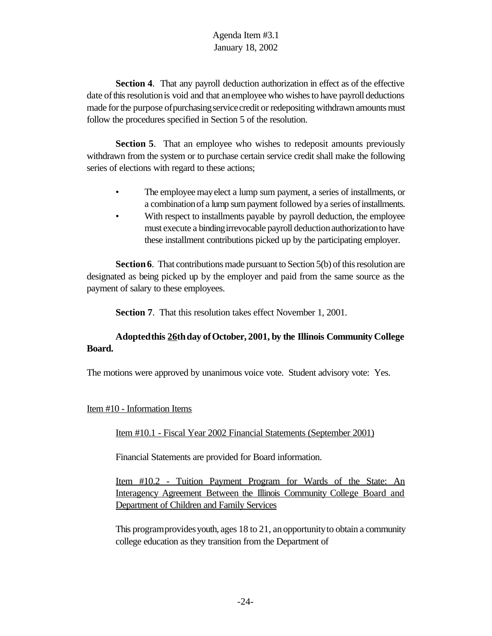**Section 4.** That any payroll deduction authorization in effect as of the effective date of this resolution is void and that an employee who wishes to have payroll deductions made for the purpose of purchasing service credit or redepositing withdrawn amounts must follow the procedures specified in Section 5 of the resolution.

**Section 5**. That an employee who wishes to redeposit amounts previously withdrawn from the system or to purchase certain service credit shall make the following series of elections with regard to these actions;

- The employee may elect a lump sum payment, a series of installments, or a combination of a lump sum payment followed by a series of installments.
- With respect to installments payable by payroll deduction, the employee must execute a bindingirrevocable payroll deductionauthorizationto have these installment contributions picked up by the participating employer.

**Section 6.** That contributions made pursuant to Section 5(b) of this resolution are designated as being picked up by the employer and paid from the same source as the payment of salary to these employees.

**Section 7**. That this resolution takes effect November 1, 2001.

# **Adoptedthis 26thday ofOctober, 2001, by the Illinois Community College Board.**

The motions were approved by unanimous voice vote. Student advisory vote: Yes.

#### Item #10 - Information Items

Item #10.1 - Fiscal Year 2002 Financial Statements (September 2001)

Financial Statements are provided for Board information.

Item #10.2 - Tuition Payment Program for Wards of the State: An Interagency Agreement Between the Illinois Community College Board and Department of Children and Family Services

This programprovides youth, ages 18 to 21, an opportunity to obtain a community college education as they transition from the Department of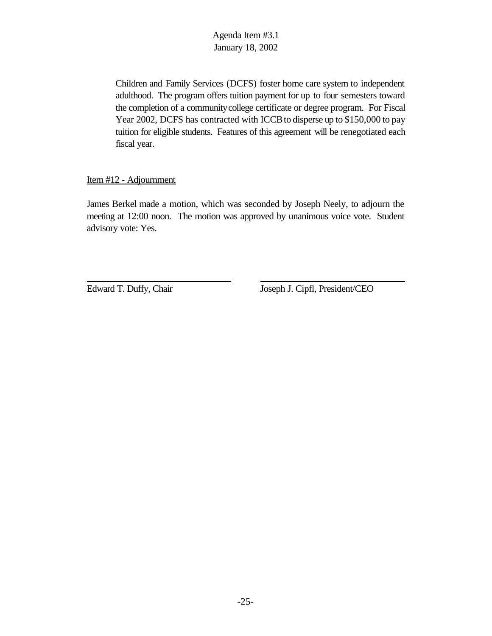Children and Family Services (DCFS) foster home care system to independent adulthood. The program offers tuition payment for up to four semesters toward the completion of a communitycollege certificate or degree program. For Fiscal Year 2002, DCFS has contracted with ICCB to disperse up to \$150,000 to pay tuition for eligible students. Features of this agreement will be renegotiated each fiscal year.

#### Item #12 - Adjournment

James Berkel made a motion, which was seconded by Joseph Neely, to adjourn the meeting at 12:00 noon. The motion was approved by unanimous voice vote. Student advisory vote: Yes.

Edward T. Duffy, Chair Joseph J. Cipfl, President/CEO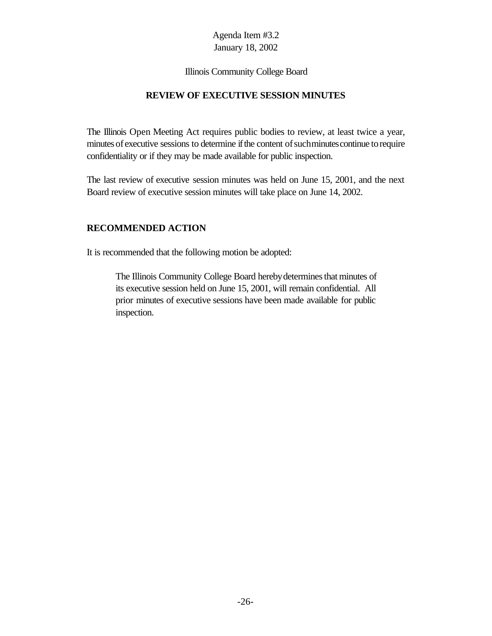#### Illinois Community College Board

#### **REVIEW OF EXECUTIVE SESSION MINUTES**

The Illinois Open Meeting Act requires public bodies to review, at least twice a year, minutes of executive sessions to determine if the content of such minutes continue to require confidentiality or if they may be made available for public inspection.

The last review of executive session minutes was held on June 15, 2001, and the next Board review of executive session minutes will take place on June 14, 2002.

#### **RECOMMENDED ACTION**

It is recommended that the following motion be adopted:

The Illinois Community College Board hereby determines that minutes of its executive session held on June 15, 2001, will remain confidential. All prior minutes of executive sessions have been made available for public inspection.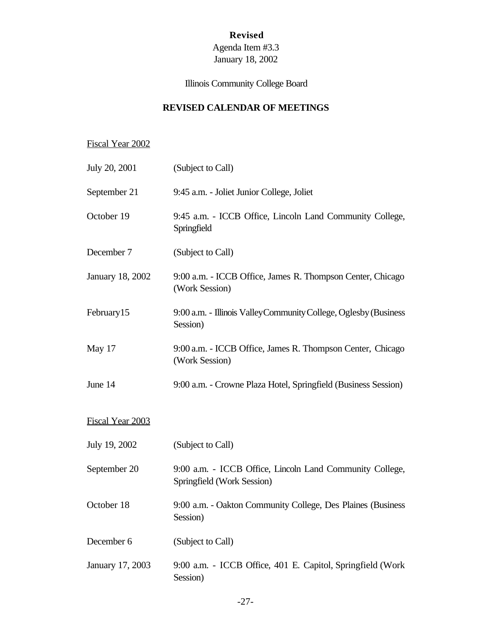# **Revised**

# Agenda Item #3.3 January 18, 2002

# Illinois Community College Board

# **REVISED CALENDAR OF MEETINGS**

# Fiscal Year 2002

| July 20, 2001           | (Subject to Call)                                                                      |
|-------------------------|----------------------------------------------------------------------------------------|
| September 21            | 9:45 a.m. - Joliet Junior College, Joliet                                              |
| October 19              | 9:45 a.m. - ICCB Office, Lincoln Land Community College,<br>Springfield                |
| December 7              | (Subject to Call)                                                                      |
| <b>January 18, 2002</b> | 9:00 a.m. - ICCB Office, James R. Thompson Center, Chicago<br>(Work Session)           |
| February15              | 9:00 a.m. - Illinois Valley Community College, Oglesby (Business<br>Session)           |
| May 17                  | 9:00 a.m. - ICCB Office, James R. Thompson Center, Chicago<br>(Work Session)           |
| June 14                 | 9:00 a.m. - Crowne Plaza Hotel, Springfield (Business Session)                         |
| <b>Fiscal Year 2003</b> |                                                                                        |
| July 19, 2002           | (Subject to Call)                                                                      |
| September 20            | 9:00 a.m. - ICCB Office, Lincoln Land Community College,<br>Springfield (Work Session) |
| October 18              | 9:00 a.m. - Oakton Community College, Des Plaines (Business<br>Session)                |
| December 6              | (Subject to Call)                                                                      |
| January 17, 2003        | 9:00 a.m. - ICCB Office, 401 E. Capitol, Springfield (Work<br>Session)                 |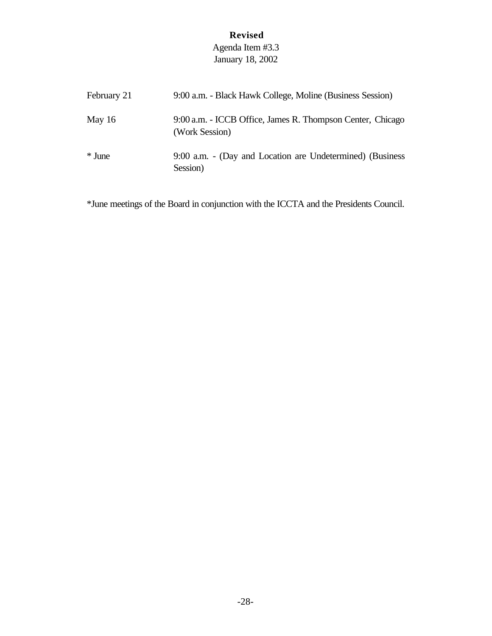# **Revised**

# Agenda Item #3.3 January 18, 2002

| February 21 | 9:00 a.m. - Black Hawk College, Moline (Business Session)                    |
|-------------|------------------------------------------------------------------------------|
| May $16$    | 9:00 a.m. - ICCB Office, James R. Thompson Center, Chicago<br>(Work Session) |
| * June      | 9:00 a.m. - (Day and Location are Undetermined) (Business<br>Session)        |

\*June meetings of the Board in conjunction with the ICCTA and the Presidents Council.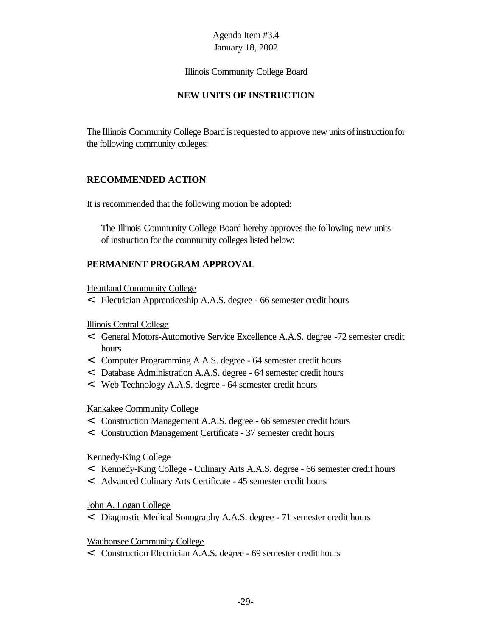Illinois Community College Board

# **NEW UNITS OF INSTRUCTION**

The Illinois Community College Board is requested to approve new units of instruction for the following community colleges:

### **RECOMMENDED ACTION**

It is recommended that the following motion be adopted:

The Illinois Community College Board hereby approves the following new units of instruction for the community colleges listed below:

# **PERMANENT PROGRAM APPROVAL**

Heartland Community College

< Electrician Apprenticeship A.A.S. degree - 66 semester credit hours

#### Illinois Central College

- < General Motors-Automotive Service Excellence A.A.S. degree -72 semester credit hours
- < Computer Programming A.A.S. degree 64 semester credit hours
- < Database Administration A.A.S. degree 64 semester credit hours
- < Web Technology A.A.S. degree 64 semester credit hours

### Kankakee Community College

- < Construction Management A.A.S. degree 66 semester credit hours
- < Construction Management Certificate 37 semester credit hours

### Kennedy-King College

- < Kennedy-King College Culinary Arts A.A.S. degree 66 semester credit hours
- < Advanced Culinary Arts Certificate 45 semester credit hours

### John A. Logan College

< Diagnostic Medical Sonography A.A.S. degree - 71 semester credit hours

### Waubonsee Community College

< Construction Electrician A.A.S. degree - 69 semester credit hours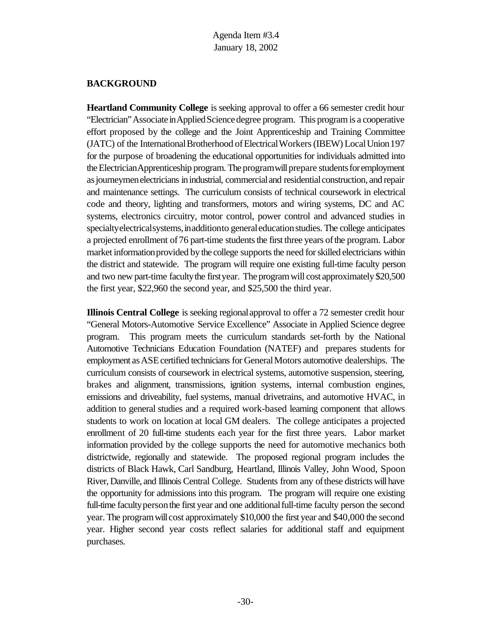#### **BACKGROUND**

**Heartland Community College** is seeking approval to offer a 66 semester credit hour "Electrician" Associate in Applied Science degree program. This program is a cooperative effort proposed by the college and the Joint Apprenticeship and Training Committee (JATC) of the International Brotherhood of Electrical Workers (IBEW) Local Union 197 for the purpose of broadening the educational opportunities for individuals admitted into the Electrician Apprenticeship program. The program will prepare students for employment asjourneymenelectricians inindustrial, commercialand residentialconstruction, and repair and maintenance settings. The curriculum consists of technical coursework in electrical code and theory, lighting and transformers, motors and wiring systems, DC and AC systems, electronics circuitry, motor control, power control and advanced studies in specialty electrical systems, in addition to general education studies. The college anticipates a projected enrollment of 76 part-time students the first three years of the program. Labor market information provided by the college supports the need for skilled electricians within the district and statewide. The program will require one existing full-time faculty person and two new part-time faculty the first year. The program will cost approximately \$20,500 the first year, \$22,960 the second year, and \$25,500 the third year.

**Illinois Central College** is seeking regionalapproval to offer a 72 semester credit hour "General Motors-Automotive Service Excellence" Associate in Applied Science degree program. This program meets the curriculum standards set-forth by the National Automotive Technicians Education Foundation (NATEF) and prepares students for employment as ASE certified technicians for General Motors automotive dealerships. The curriculum consists of coursework in electrical systems, automotive suspension, steering, brakes and alignment, transmissions, ignition systems, internal combustion engines, emissions and driveability, fuel systems, manual drivetrains, and automotive HVAC, in addition to general studies and a required work-based learning component that allows students to work on location at local GM dealers. The college anticipates a projected enrollment of 20 full-time students each year for the first three years. Labor market information provided by the college supports the need for automotive mechanics both districtwide, regionally and statewide. The proposed regional program includes the districts of Black Hawk, Carl Sandburg, Heartland, Illinois Valley, John Wood, Spoon River, Danville, and Illinois Central College. Students from any of these districts will have the opportunity for admissions into this program. The program will require one existing full-time faculty person the first year and one additional full-time faculty person the second year. The programwill cost approximately \$10,000 the first year and \$40,000 the second year. Higher second year costs reflect salaries for additional staff and equipment purchases.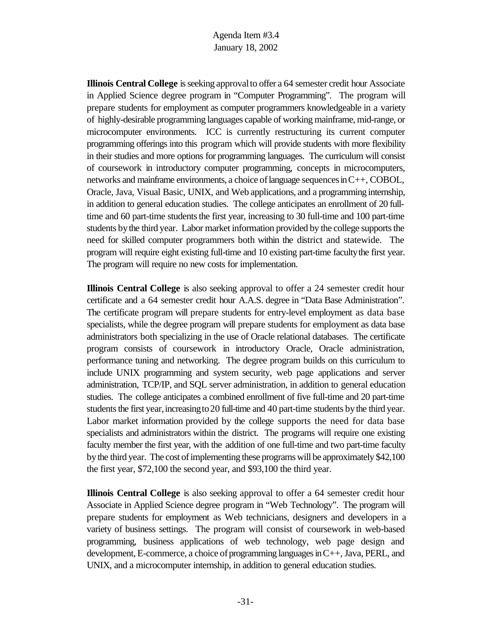**Illinois Central College** is seeking approval to offer a 64 semester credit hour Associate in Applied Science degree program in "Computer Programming". The program will prepare students for employment as computer programmers knowledgeable in a variety of highly-desirable programming languages capable of working mainframe, mid-range, or microcomputer environments. ICC is currently restructuring its current computer programming offerings into this program which will provide students with more flexibility in their studies and more options for programming languages. The curriculum will consist of coursework in introductory computer programming, concepts in microcomputers, networks and mainframe environments, a choice of language sequences in  $C_{++}$ , COBOL, Oracle, Java, Visual Basic, UNIX, and Web applications, and a programming internship, in addition to general education studies. The college anticipates an enrollment of 20 fulltime and 60 part-time students the first year, increasing to 30 full-time and 100 part-time students bythe third year. Labor market information provided by the college supports the need for skilled computer programmers both within the district and statewide. The program will require eight existing full-time and 10 existing part-time faculty the first year. The program will require no new costs for implementation.

**Illinois Central College** is also seeking approval to offer a 24 semester credit hour certificate and a 64 semester credit hour A.A.S. degree in "Data Base Administration". The certificate program will prepare students for entry-level employment as data base specialists, while the degree program will prepare students for employment as data base administrators both specializing in the use of Oracle relational databases. The certificate program consists of coursework in introductory Oracle, Oracle administration, performance tuning and networking. The degree program builds on this curriculum to include UNIX programming and system security, web page applications and server administration, TCP/IP, and SQL server administration, in addition to general education studies. The college anticipates a combined enrollment of five full-time and 20 part-time students the first year, increasing to 20 full-time and 40 part-time students by the third year. Labor market information provided by the college supports the need for data base specialists and administrators within the district. The programs will require one existing faculty member the first year, with the addition of one full-time and two part-time faculty bythe third year. The cost of implementing these programs will be approximately \$42,100 the first year, \$72,100 the second year, and \$93,100 the third year.

**Illinois Central College** is also seeking approval to offer a 64 semester credit hour Associate in Applied Science degree program in "Web Technology". The program will prepare students for employment as Web technicians, designers and developers in a variety of business settings. The program will consist of coursework in web-based programming, business applications of web technology, web page design and development, E-commerce, a choice of programming languages in  $C_{++}$ , Java, PERL, and UNIX, and a microcomputer internship, in addition to general education studies.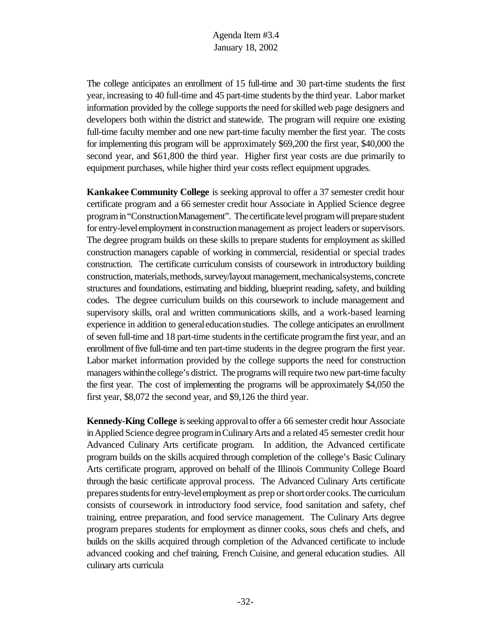The college anticipates an enrollment of 15 full-time and 30 part-time students the first year, increasing to 40 full-time and 45 part-time students bythe third year. Labor market information provided by the college supports the need for skilled web page designers and developers both within the district and statewide. The program will require one existing full-time faculty member and one new part-time faculty member the first year. The costs for implementing this program will be approximately \$69,200 the first year, \$40,000 the second year, and \$61,800 the third year. Higher first year costs are due primarily to equipment purchases, while higher third year costs reflect equipment upgrades.

**Kankakee Community College** is seeking approval to offer a 37 semester credit hour certificate program and a 66 semester credit hour Associate in Applied Science degree programin"ConstructionManagement". The certificate level program will prepare student for entry-level employment in construction management as project leaders or supervisors. The degree program builds on these skills to prepare students for employment as skilled construction managers capable of working in commercial, residential or special trades construction. The certificate curriculum consists of coursework in introductory building construction, materials, methods, survey/layout management, mechanical systems, concrete structures and foundations, estimating and bidding, blueprint reading, safety, and building codes. The degree curriculum builds on this coursework to include management and supervisory skills, oral and written communications skills, and a work-based learning experience in addition to general education studies. The college anticipates an enrollment of seven full-time and 18 part-time students in the certificate program the first year, and an enrollment of five full-time and ten part-time students in the degree program the first year. Labor market information provided by the college supports the need for construction managers withinthe college's district. The programs will require two new part-time faculty the first year. The cost of implementing the programs will be approximately \$4,050 the first year, \$8,072 the second year, and \$9,126 the third year.

**Kennedy-King College** is seeking approval to offer a 66 semester credit hour Associate inApplied Science degree programinCulinaryArts and a related 45 semester credit hour Advanced Culinary Arts certificate program. In addition, the Advanced certificate program builds on the skills acquired through completion of the college's Basic Culinary Arts certificate program, approved on behalf of the Illinois Community College Board through the basic certificate approval process. The Advanced Culinary Arts certificate preparesstudentsfor entry-levelemployment as prep orshortorder cooks.The curriculum consists of coursework in introductory food service, food sanitation and safety, chef training, entree preparation, and food service management. The Culinary Arts degree program prepares students for employment as dinner cooks, sous chefs and chefs, and builds on the skills acquired through completion of the Advanced certificate to include advanced cooking and chef training, French Cuisine, and general education studies. All culinary arts curricula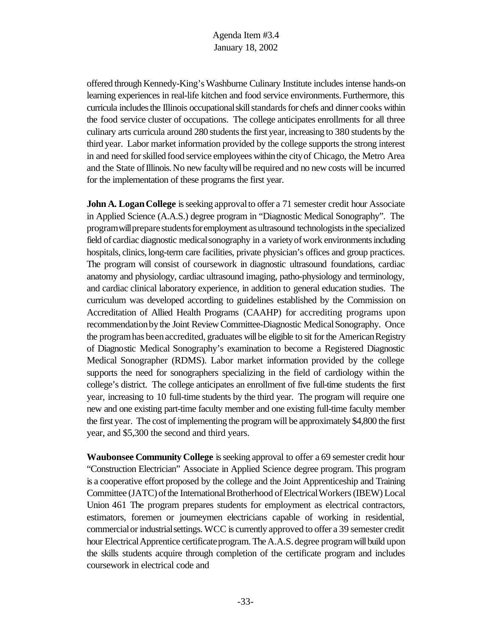offered through Kennedy-King's Washburne Culinary Institute includes intense hands-on learning experiences in real-life kitchen and food service environments. Furthermore, this curricula includes the Illinois occupational skill standards for chefs and dinner cooks within the food service cluster of occupations. The college anticipates enrollments for all three culinary arts curricula around 280 students the first year, increasing to 380 students by the third year. Labor market information provided by the college supports the strong interest in and need forskilled food service employees within the cityof Chicago, the Metro Area and the State of Illinois. No new faculty will be required and no new costs will be incurred for the implementation of these programs the first year.

**John A. Logan College** is seeking approval to offer a 71 semester credit hour Associate in Applied Science (A.A.S.) degree program in "Diagnostic Medical Sonography". The program will prepare students for employment as ultrasound technologists in the specialized field of cardiac diagnostic medical sonography in a variety of work environments including hospitals, clinics, long-term care facilities, private physician's offices and group practices. The program will consist of coursework in diagnostic ultrasound foundations, cardiac anatomy and physiology, cardiac ultrasound imaging, patho-physiology and terminology, and cardiac clinical laboratory experience, in addition to general education studies. The curriculum was developed according to guidelines established by the Commission on Accreditation of Allied Health Programs (CAAHP) for accrediting programs upon recommendation by the Joint Review Committee-Diagnostic Medical Sonography. Once the program has been accredited, graduates will be eligible to sit for the American Registry of Diagnostic Medical Sonography's examination to become a Registered Diagnostic Medical Sonographer (RDMS). Labor market information provided by the college supports the need for sonographers specializing in the field of cardiology within the college's district. The college anticipates an enrollment of five full-time students the first year, increasing to 10 full-time students by the third year. The program will require one new and one existing part-time faculty member and one existing full-time faculty member the first year. The cost of implementing the program will be approximately \$4,800 the first year, and \$5,300 the second and third years.

**Waubonsee Community College** is seeking approval to offer a 69 semester credit hour "Construction Electrician" Associate in Applied Science degree program. This program is a cooperative effort proposed by the college and the Joint Apprenticeship and Training Committee (JATC) of the International Brotherhood of Electrical Workers (IBEW) Local Union 461 The program prepares students for employment as electrical contractors, estimators, foremen or journeymen electricians capable of working in residential, commercialor industrialsettings.WCC is currently approved to offer a 39 semester credit hour Electrical Apprentice certificate program. The A.A.S. degree program will build upon the skills students acquire through completion of the certificate program and includes coursework in electrical code and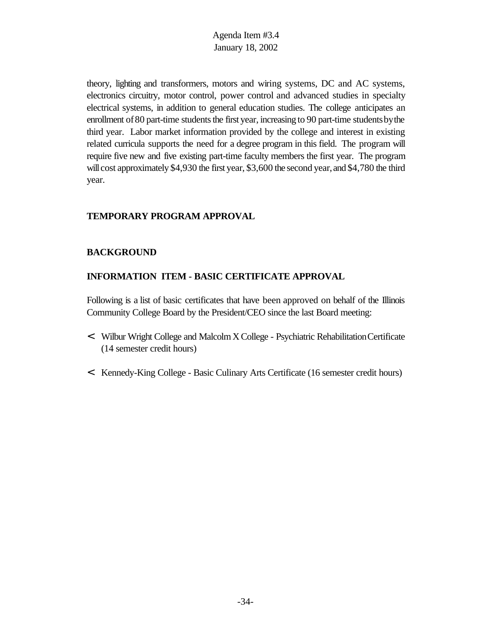theory, lighting and transformers, motors and wiring systems, DC and AC systems, electronics circuitry, motor control, power control and advanced studies in specialty electrical systems, in addition to general education studies. The college anticipates an enrollment of 80 part-time students the first year, increasing to 90 part-time students by the third year. Labor market information provided by the college and interest in existing related curricula supports the need for a degree program in this field. The program will require five new and five existing part-time faculty members the first year. The program will cost approximately \$4,930 the first year, \$3,600 the second year, and \$4,780 the third year.

### **TEMPORARY PROGRAM APPROVAL**

#### **BACKGROUND**

### **INFORMATION ITEM - BASIC CERTIFICATE APPROVAL**

Following is a list of basic certificates that have been approved on behalf of the Illinois Community College Board by the President/CEO since the last Board meeting:

- < Wilbur Wright College and MalcolmX College Psychiatric RehabilitationCertificate (14 semester credit hours)
- < Kennedy-King College Basic Culinary Arts Certificate (16 semester credit hours)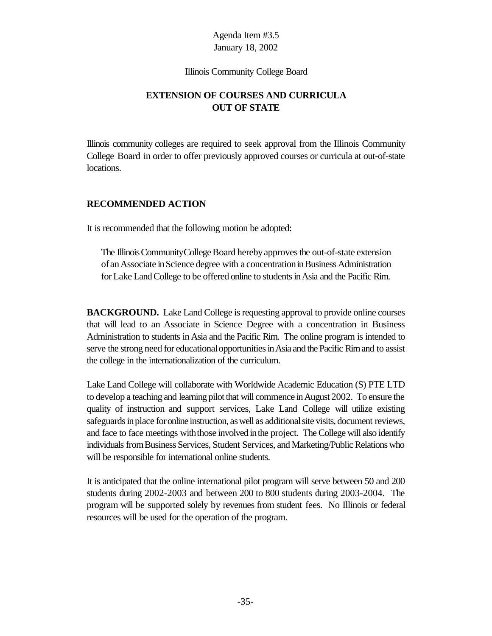#### Illinois Community College Board

# **EXTENSION OF COURSES AND CURRICULA OUT OF STATE**

Illinois community colleges are required to seek approval from the Illinois Community College Board in order to offer previously approved courses or curricula at out-of-state locations.

### **RECOMMENDED ACTION**

It is recommended that the following motion be adopted:

The Illinois Community College Board hereby approves the out-of-state extension of an Associate in Science degree with a concentration in Business Administration for Lake Land College to be offered online to students in Asia and the Pacific Rim.

**BACKGROUND.** Lake Land College is requesting approval to provide online courses that will lead to an Associate in Science Degree with a concentration in Business Administration to students in Asia and the Pacific Rim. The online program is intended to serve the strong need for educational opportunities in Asia and the Pacific Rim and to assist the college in the internationalization of the curriculum.

Lake Land College will collaborate with Worldwide Academic Education (S) PTE LTD to develop a teaching and learning pilot that will commence inAugust 2002. To ensure the quality of instruction and support services, Lake Land College will utilize existing safeguards in place for online instruction, as well as additional site visits, document reviews, and face to face meetings with those involved in the project. The College will also identify individuals from Business Services, Student Services, and Marketing/Public Relations who will be responsible for international online students.

It is anticipated that the online international pilot program will serve between 50 and 200 students during 2002-2003 and between 200 to 800 students during 2003-2004. The program will be supported solely by revenues from student fees. No Illinois or federal resources will be used for the operation of the program.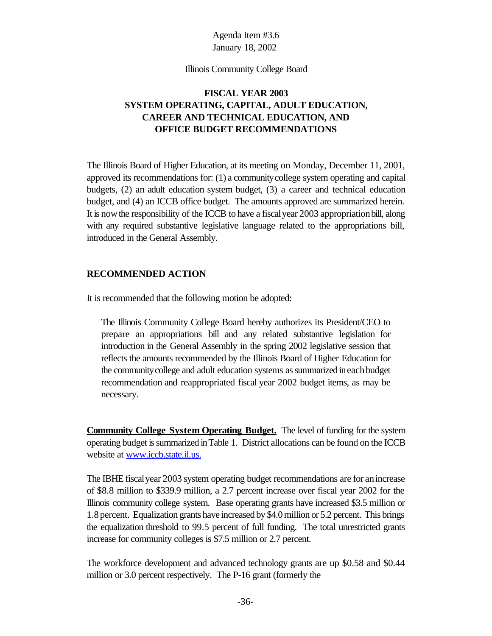#### Illinois Community College Board

# **FISCAL YEAR 2003 SYSTEM OPERATING, CAPITAL, ADULT EDUCATION, CAREER AND TECHNICAL EDUCATION, AND OFFICE BUDGET RECOMMENDATIONS**

The Illinois Board of Higher Education, at its meeting on Monday, December 11, 2001, approved its recommendations for: (1) a communitycollege system operating and capital budgets, (2) an adult education system budget, (3) a career and technical education budget, and (4) an ICCB office budget. The amounts approved are summarized herein. It is nowthe responsibility of the ICCB to have a fiscalyear 2003 appropriationbill, along with any required substantive legislative language related to the appropriations bill, introduced in the General Assembly.

#### **RECOMMENDED ACTION**

It is recommended that the following motion be adopted:

The Illinois Community College Board hereby authorizes its President/CEO to prepare an appropriations bill and any related substantive legislation for introduction in the General Assembly in the spring 2002 legislative session that reflects the amounts recommended by the Illinois Board of Higher Education for the communitycollege and adult education systems assummarized ineachbudget recommendation and reappropriated fiscal year 2002 budget items, as may be necessary.

**Community College System Operating Budget.** The level of funding for the system operating budget issummarized inTable 1. District allocations can be found on the ICCB website at www.iccb.state.il.us.

The IBHE fiscal year 2003 system operating budget recommendations are for an increase of \$8.8 million to \$339.9 million, a 2.7 percent increase over fiscal year 2002 for the Illinois community college system. Base operating grants have increased \$3.5 million or 1.8percent. Equalization grants have increased by \$4.0 million or 5.2 percent. This brings the equalization threshold to 99.5 percent of full funding. The total unrestricted grants increase for community colleges is \$7.5 million or 2.7 percent.

The workforce development and advanced technology grants are up \$0.58 and \$0.44 million or 3.0 percent respectively. The P-16 grant (formerly the